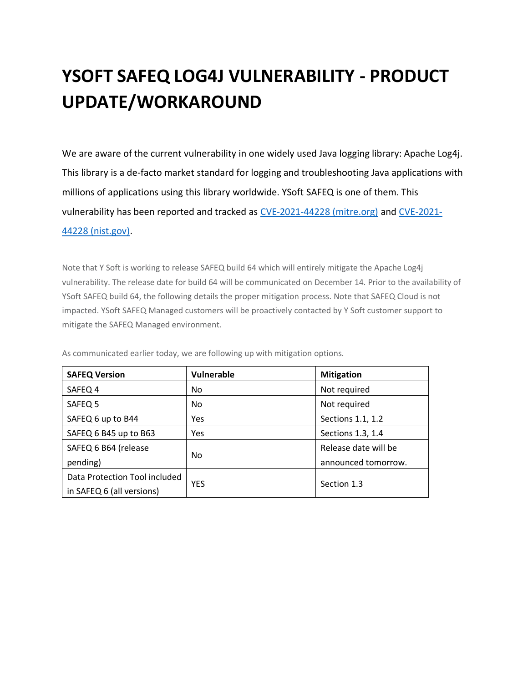### **YSOFT SAFEQ LOG4J VULNERABILITY - PRODUCT UPDATE/WORKAROUND**

We are aware of the current vulnerability in one widely used Java logging library: Apache Log4j. This library is a de-facto market standard for logging and troubleshooting Java applications with millions of applications using this library worldwide. YSoft SAFEQ is one of them. This vulnerability has been reported and tracked as [CVE-2021-44228 \(mitre.org\)](https://cve.mitre.org/cgi-bin/cvename.cgi?name=CVE-2021-44228) and [CVE-2021-](https://nvd.nist.gov/vuln/detail/CVE-2021-44228) [44228 \(nist.gov\).](https://nvd.nist.gov/vuln/detail/CVE-2021-44228)

Note that Y Soft is working to release SAFEQ build 64 which will entirely mitigate the Apache Log4j vulnerability. The release date for build 64 will be communicated on December 14. Prior to the availability of YSoft SAFEQ build 64, the following details the proper mitigation process. Note that SAFEQ Cloud is not impacted. YSoft SAFEQ Managed customers will be proactively contacted by Y Soft customer support to mitigate the SAFEQ Managed environment.

| <b>SAFEQ Version</b>          | Vulnerable | <b>Mitigation</b>    |
|-------------------------------|------------|----------------------|
| SAFEQ 4                       | No.        | Not required         |
| SAFEQ 5                       | No.        | Not required         |
| SAFEQ 6 up to B44             | Yes        | Sections 1.1, 1.2    |
| SAFEQ 6 B45 up to B63         | Yes        | Sections 1.3, 1.4    |
| SAFEQ 6 B64 (release          |            | Release date will be |
| pending)                      | No.        | announced tomorrow.  |
| Data Protection Tool included |            |                      |
| in SAFEQ 6 (all versions)     | <b>YES</b> | Section 1.3          |

As communicated earlier today, we are following up with mitigation options.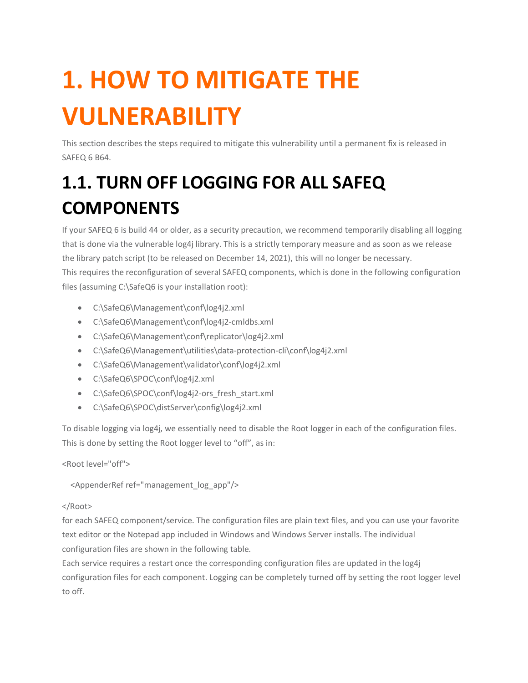# **1. HOW TO MITIGATE THE VULNERABILITY**

This section describes the steps required to mitigate this vulnerability until a permanent fix is released in SAFEQ 6 B64.

# **1.1. TURN OFF LOGGING FOR ALL SAFEQ COMPONENTS**

If your SAFEQ 6 is build 44 or older, as a security precaution, we recommend temporarily disabling all logging that is done via the vulnerable log4j library. This is a strictly temporary measure and as soon as we release the library patch script (to be released on December 14, 2021), this will no longer be necessary. This requires the reconfiguration of several SAFEQ components, which is done in the following configuration files (assuming C:\SafeQ6 is your installation root):

- C:\SafeQ6\Management\conf\log4j2.xml
- C:\SafeQ6\Management\conf\log4j2-cmldbs.xml
- C:\SafeQ6\Management\conf\replicator\log4j2.xml
- C:\SafeQ6\Management\utilities\data-protection-cli\conf\log4j2.xml
- C:\SafeQ6\Management\validator\conf\log4j2.xml
- C:\SafeQ6\SPOC\conf\log4j2.xml
- C:\SafeQ6\SPOC\conf\log4j2-ors\_fresh\_start.xml
- C:\SafeQ6\SPOC\distServer\config\log4j2.xml

To disable logging via log4j, we essentially need to disable the Root logger in each of the configuration files. This is done by setting the Root logger level to "off", as in:

<Root level="off">

<AppenderRef ref="management\_log\_app"/>

#### </Root>

for each SAFEQ component/service. The configuration files are plain text files, and you can use your favorite text editor or the Notepad app included in Windows and Windows Server installs. The individual configuration files are shown in the following table.

Each service requires a restart once the corresponding configuration files are updated in the log4j configuration files for each component. Logging can be completely turned off by setting the root logger level to off.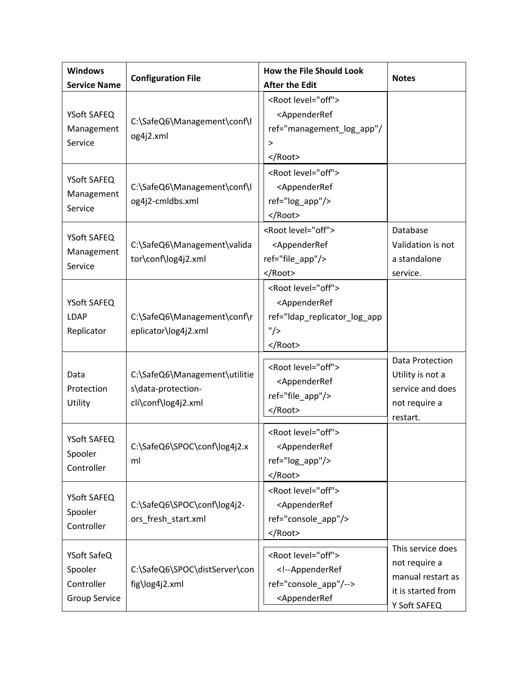| <b>Windows</b><br><b>Service Name</b>                        | <b>Configuration File</b>                                                  | <b>How the File Should Look</b><br><b>After the Edit</b>                                                                                                                                                                 | <b>Notes</b>                                                                                  |
|--------------------------------------------------------------|----------------------------------------------------------------------------|--------------------------------------------------------------------------------------------------------------------------------------------------------------------------------------------------------------------------|-----------------------------------------------------------------------------------------------|
| YSoft SAFEQ<br>Management<br>Service                         | C:\SafeQ6\Management\conf\l<br>og4j2.xml                                   | <root level="off"><br/><appenderref<br>ref="management_log_app"/<br/>&gt;<br/></appenderref<br></root>                                                                                                                   |                                                                                               |
| YSoft SAFEQ<br>Management<br>Service                         | C:\SafeQ6\Management\conf\l<br>og4j2-cmldbs.xml                            | <root level="off"><br/><appenderref<br>ref="log_app"/&gt;<br/></appenderref<br></root>                                                                                                                                   |                                                                                               |
| YSoft SAFEQ<br>Management<br>Service                         | C:\SafeQ6\Management\valida<br>tor\conf\log4j2.xml                         | <root level="off"><br/><appenderref<br>ref="file_app"/&gt;<br/></appenderref<br></root>                                                                                                                                  | Database<br>Validation is not<br>a standalone<br>service.                                     |
| YSoft SAFEQ<br><b>LDAP</b><br>Replicator                     | C:\SafeQ6\Management\conf\r<br>eplicator\log4j2.xml                        | <root level="off"><br/><appenderref<br>ref="Idap_replicator_log_app<br/>"/&gt;<br/></appenderref<br></root>                                                                                                              |                                                                                               |
| Data<br>Protection<br>Utility                                | C:\SafeQ6\Management\utilitie<br>s\data-protection-<br>cli\conf\log4j2.xml | <root level="off"><br/><appenderref<br>ref="file_app"/&gt;<br/></appenderref<br></root>                                                                                                                                  | Data Protection<br>Utility is not a<br>service and does<br>not require a<br>restart.          |
| YSoft SAFEQ<br>Spooler<br>Controller                         | C:\SafeQ6\SPOC\conf\log4j2.x<br>ml                                         | <root level="off"><br/><appenderref<br>ref="log_app"/&gt;<br/></appenderref<br></root>                                                                                                                                   |                                                                                               |
| YSoft SAFEQ<br>Spooler<br>Controller                         | C:\SafeQ6\SPOC\conf\log4j2-<br>ors_fresh_start.xml                         | <root level="off"><br/><appenderref<br>ref="console app"/&gt;<br/></appenderref<br></root>                                                                                                                               |                                                                                               |
| YSoft SafeQ<br>Spooler<br>Controller<br><b>Group Service</b> | C:\SafeQ6\SPOC\distServer\con<br>fig\log4j2.xml                            | <root level="off"><br/><!--AppenderRef<br>ref="console_app"/--><br/><appenderref< td=""><td>This service does<br/>not require a<br/>manual restart as<br/>it is started from<br/>Y Soft SAFEQ</td></appenderref<></root> | This service does<br>not require a<br>manual restart as<br>it is started from<br>Y Soft SAFEQ |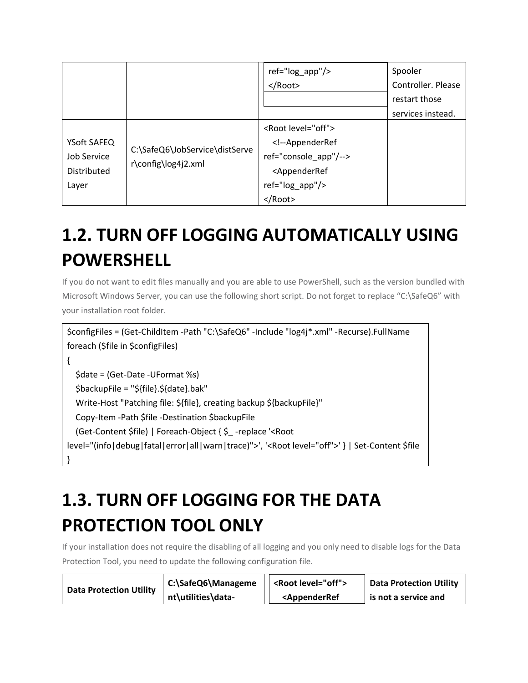|             |                     | ref="log_app"/>                                                                                                     | Spooler            |
|-------------|---------------------|---------------------------------------------------------------------------------------------------------------------|--------------------|
|             |                     | $<$ /Root>                                                                                                          | Controller. Please |
|             |                     |                                                                                                                     | restart those      |
|             |                     |                                                                                                                     | services instead.  |
|             |                     | <root level="off"></root>                                                                                           |                    |
| YSoft SAFEQ |                     | AppenderRef</td><td></td></tr><tr><td>Job Service</td><td>C:\SafeQ6\JobService\distServe</td><td>ref="console_app"/ |                    |
| Distributed | r\config\log4j2.xml | <appenderref< td=""><td></td></appenderref<>                                                                        |                    |
| Layer       |                     | ref="log_app"/>                                                                                                     |                    |
|             |                     |                                                                                                                     |                    |

# **1.2. TURN OFF LOGGING AUTOMATICALLY USING POWERSHELL**

If you do not want to edit files manually and you are able to use PowerShell, such as the version bundled with Microsoft Windows Server, you can use the following short script. Do not forget to replace "C:\SafeQ6" with your installation root folder.

```
$configFiles = (Get-ChildItem -Path "C:\SafeQ6" -Include "log4j*.xml" -Recurse).FullName
foreach ($file in $configFiles)
{
   $date = (Get-Date -UFormat %s)
   $backupFile = "${file}.${date}.bak"
   Write-Host "Patching file: ${file}, creating backup ${backupFile}"
   Copy-Item -Path $file -Destination $backupFile
   (Get-Content $file) | Foreach-Object { $_ -replace '<Root 
level="(info|debug|fatal|error|all|warn|trace)">', '<Root level="off">' } | Set-Content $file
}
```
### **1.3. TURN OFF LOGGING FOR THE DATA PROTECTION TOOL ONLY**

If your installation does not require the disabling of all logging and you only need to disable logs for the Data Protection Tool, you need to update the following configuration file.

| <b>Data Protection Utility</b> | C:\SafeQ6\Manageme | <root level="off"></root>                                        | <b>Data Protection Utility</b> |
|--------------------------------|--------------------|------------------------------------------------------------------|--------------------------------|
|                                | nt\utilities\data- | <appenderref< td=""><td>is not a service and</td></appenderref<> | is not a service and           |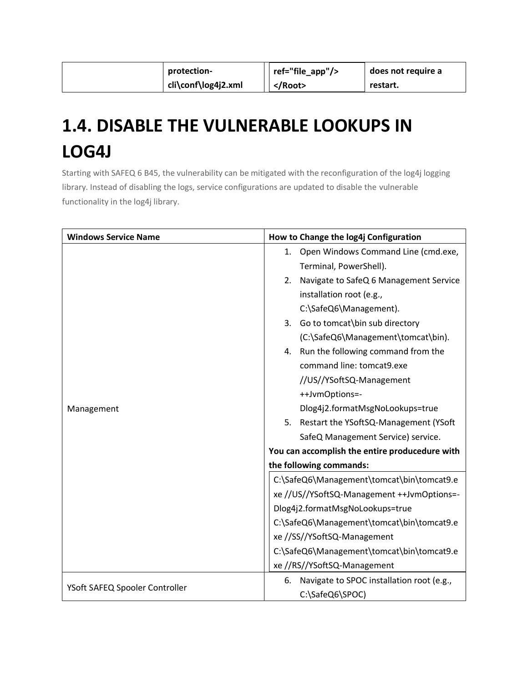| protection-         | ref="file_app"/> | does not require a |
|---------------------|------------------|--------------------|
| cli\conf\log4j2.xml | $<$ /Root>       | restart.           |

### **1.4. DISABLE THE VULNERABLE LOOKUPS IN LOG4J**

Starting with SAFEQ 6 B45, the vulnerability can be mitigated with the reconfiguration of the log4j logging library. Instead of disabling the logs, service configurations are updated to disable the vulnerable functionality in the log4j library.

| <b>Windows Service Name</b>    | How to Change the log4j Configuration           |  |
|--------------------------------|-------------------------------------------------|--|
|                                | Open Windows Command Line (cmd.exe,<br>1.       |  |
|                                | Terminal, PowerShell).                          |  |
|                                | Navigate to SafeQ 6 Management Service<br>2.    |  |
|                                | installation root (e.g.,                        |  |
|                                | C:\SafeQ6\Management).                          |  |
|                                | Go to tomcat\bin sub directory<br>3.            |  |
|                                | (C:\SafeQ6\Management\tomcat\bin).              |  |
|                                | Run the following command from the<br>4.        |  |
|                                | command line: tomcat9.exe                       |  |
| Management                     | //US//YSoftSQ-Management                        |  |
|                                | ++JvmOptions=-                                  |  |
|                                | Dlog4j2.formatMsgNoLookups=true                 |  |
|                                | 5.<br>Restart the YSoftSQ-Management (YSoft     |  |
|                                | SafeQ Management Service) service.              |  |
|                                | You can accomplish the entire producedure with  |  |
|                                | the following commands:                         |  |
|                                | C:\SafeQ6\Management\tomcat\bin\tomcat9.e       |  |
|                                | xe //US//YSoftSQ-Management ++JvmOptions=-      |  |
|                                | Dlog4j2.formatMsgNoLookups=true                 |  |
|                                | C:\SafeQ6\Management\tomcat\bin\tomcat9.e       |  |
|                                | xe //SS//YSoftSQ-Management                     |  |
|                                | C:\SafeQ6\Management\tomcat\bin\tomcat9.e       |  |
|                                | xe //RS//YSoftSQ-Management                     |  |
|                                | Navigate to SPOC installation root (e.g.,<br>6. |  |
| YSoft SAFEQ Spooler Controller | C:\SafeQ6\SPOC)                                 |  |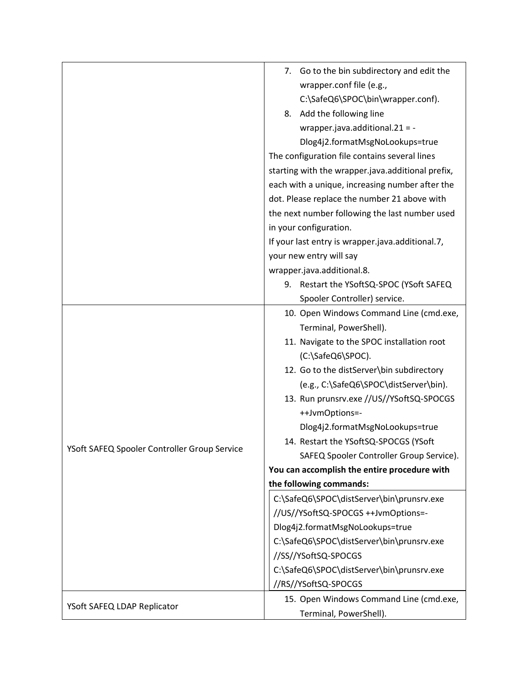|                                              | 7. Go to the bin subdirectory and edit the        |
|----------------------------------------------|---------------------------------------------------|
|                                              | wrapper.conf file (e.g.,                          |
|                                              | C:\SafeQ6\SPOC\bin\wrapper.conf).                 |
|                                              | Add the following line<br>8.                      |
|                                              | wrapper.java.additional.21 = -                    |
|                                              | Dlog4j2.formatMsgNoLookups=true                   |
|                                              | The configuration file contains several lines     |
|                                              | starting with the wrapper.java.additional prefix, |
|                                              | each with a unique, increasing number after the   |
|                                              | dot. Please replace the number 21 above with      |
|                                              | the next number following the last number used    |
|                                              | in your configuration.                            |
|                                              | If your last entry is wrapper.java.additional.7,  |
|                                              | your new entry will say                           |
|                                              | wrapper.java.additional.8.                        |
|                                              | 9. Restart the YSoftSQ-SPOC (YSoft SAFEQ          |
|                                              | Spooler Controller) service.                      |
|                                              | 10. Open Windows Command Line (cmd.exe,           |
|                                              | Terminal, PowerShell).                            |
|                                              | 11. Navigate to the SPOC installation root        |
|                                              | (C:\SafeQ6\SPOC).                                 |
|                                              | 12. Go to the distServer\bin subdirectory         |
|                                              | (e.g., C:\SafeQ6\SPOC\distServer\bin).            |
|                                              | 13. Run prunsrv.exe //US//YSoftSQ-SPOCGS          |
|                                              | ++JvmOptions=-                                    |
|                                              | Dlog4j2.formatMsgNoLookups=true                   |
|                                              | 14. Restart the YSoftSQ-SPOCGS (YSoft             |
| YSoft SAFEQ Spooler Controller Group Service | SAFEQ Spooler Controller Group Service).          |
|                                              | You can accomplish the entire procedure with      |
|                                              | the following commands:                           |
|                                              | C:\SafeQ6\SPOC\distServer\bin\prunsrv.exe         |
|                                              | //US//YSoftSQ-SPOCGS ++JvmOptions=-               |
|                                              | Dlog4j2.formatMsgNoLookups=true                   |
|                                              | C:\SafeQ6\SPOC\distServer\bin\prunsrv.exe         |
|                                              | //SS//YSoftSQ-SPOCGS                              |
|                                              | C:\SafeQ6\SPOC\distServer\bin\prunsrv.exe         |
|                                              | //RS//YSoftSQ-SPOCGS                              |
|                                              | 15. Open Windows Command Line (cmd.exe,           |
| YSoft SAFEQ LDAP Replicator                  | Terminal, PowerShell).                            |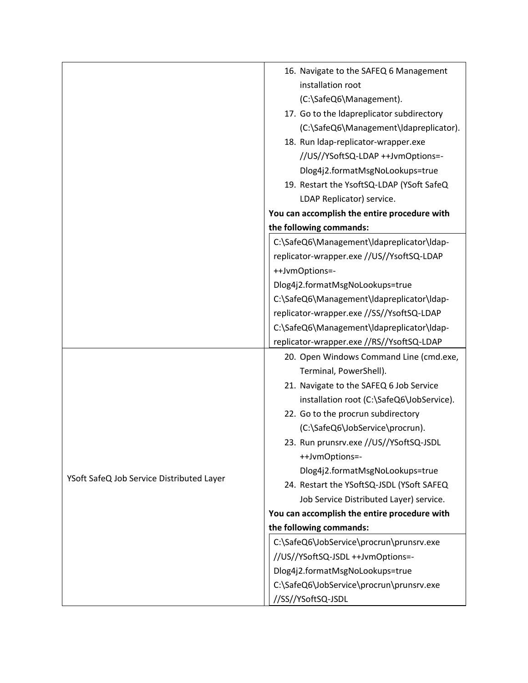|                                           | 16. Navigate to the SAFEQ 6 Management       |
|-------------------------------------------|----------------------------------------------|
|                                           | installation root                            |
|                                           | (C:\SafeQ6\Management).                      |
|                                           | 17. Go to the Idapreplicator subdirectory    |
|                                           | (C:\SafeQ6\Management\Idapreplicator).       |
|                                           | 18. Run Idap-replicator-wrapper.exe          |
|                                           | //US//YSoftSQ-LDAP ++JvmOptions=-            |
|                                           | Dlog4j2.formatMsgNoLookups=true              |
|                                           | 19. Restart the YsoftSQ-LDAP (YSoft SafeQ    |
|                                           | LDAP Replicator) service.                    |
|                                           | You can accomplish the entire procedure with |
|                                           | the following commands:                      |
|                                           | C:\SafeQ6\Management\Idapreplicator\Idap-    |
|                                           | replicator-wrapper.exe //US//YsoftSQ-LDAP    |
|                                           | ++JvmOptions=-                               |
|                                           | Dlog4j2.formatMsgNoLookups=true              |
|                                           | C:\SafeQ6\Management\Idapreplicator\Idap-    |
|                                           | replicator-wrapper.exe //SS//YsoftSQ-LDAP    |
|                                           | C:\SafeQ6\Management\Idapreplicator\Idap-    |
|                                           | replicator-wrapper.exe //RS//YsoftSQ-LDAP    |
|                                           | 20. Open Windows Command Line (cmd.exe,      |
|                                           | Terminal, PowerShell).                       |
|                                           | 21. Navigate to the SAFEQ 6 Job Service      |
|                                           | installation root (C:\SafeQ6\JobService).    |
|                                           | 22. Go to the procrun subdirectory           |
|                                           | (C:\SafeQ6\JobService\procrun).              |
|                                           | 23. Run prunsrv.exe //US//YSoftSQ-JSDL       |
|                                           | ++JvmOptions=-                               |
| YSoft SafeQ Job Service Distributed Layer | Dlog4j2.formatMsgNoLookups=true              |
|                                           | 24. Restart the YSoftSQ-JSDL (YSoft SAFEQ    |
|                                           | Job Service Distributed Layer) service.      |
|                                           | You can accomplish the entire procedure with |
|                                           | the following commands:                      |
|                                           | C:\SafeQ6\JobService\procrun\prunsrv.exe     |
|                                           | //US//YSoftSQ-JSDL ++JvmOptions=-            |
|                                           | Dlog4j2.formatMsgNoLookups=true              |
|                                           | C:\SafeQ6\JobService\procrun\prunsrv.exe     |
|                                           | //SS//YSoftSQ-JSDL                           |